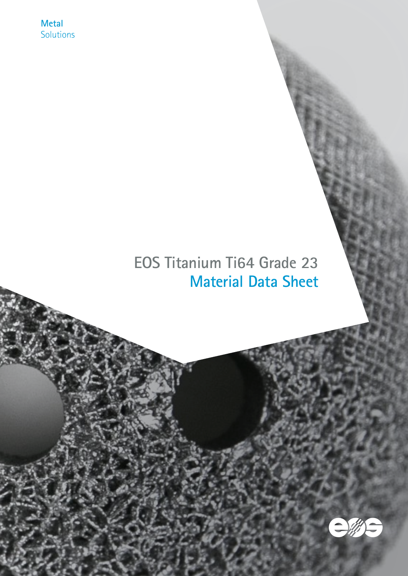**Metal Solutions** 

# **EOS Titanium Ti64 Grade 23 Material Data Sheet**

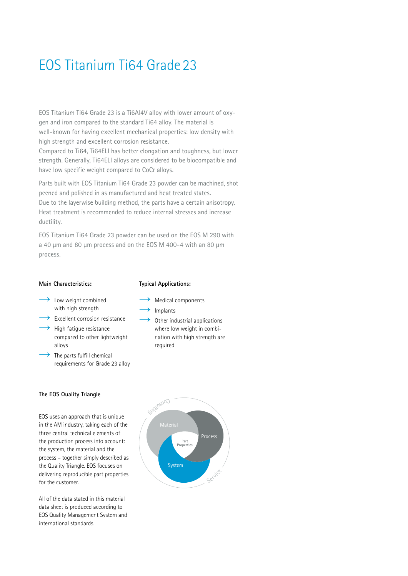# EOS Titanium Ti64 Grade 23

EOS Titanium Ti64 Grade 23 is a Ti6Al4V alloy with lower amount of oxygen and iron compared to the standard Ti64 alloy. The material is well-known for having excellent mechanical properties: low density with high strength and excellent corrosion resistance. Compared to Ti64, Ti64ELI has better elongation and toughness, but lower strength. Generally, Ti64ELI alloys are considered to be biocompatible and have low specific weight compared to CoCr alloys.

Parts built with EOS Titanium Ti64 Grade 23 powder can be machined, shot peened and polished in as manufactured and heat treated states. Due to the layerwise building method, the parts have a certain anisotropy. Heat treatment is recommended to reduce internal stresses and increase ductility.

EOS Titanium Ti64 Grade 23 powder can be used on the EOS M 290 with a 40 μm and 80 μm process and on the EOS M 400-4 with an 80 μm process.

#### **Main Characteristics:**

#### **Typical Applications:**

 $\rightarrow$  Implants

required

 $\rightarrow$  Medical components

Other industrial applications where low weight in combination with high strength are

- $\rightarrow$  Low weight combined with high strength
- $\rightarrow$  Excellent corrosion resistance
- $\rightarrow$  High fatigue resistance compared to other lightweight alloys
- $\rightarrow$  The parts fulfill chemical requirements for Grade 23 alloy

### **The EOS Quality Triangle**

EOS uses an approach that is unique in the AM industry, taking each of the three central technical elements of the production process into account: the system, the material and the process – together simply described as the Quality Triangle. EOS focuses on delivering reproducible part properties for the customer.

All of the data stated in this material data sheet is produced according to EOS Quality Management System and international standards.

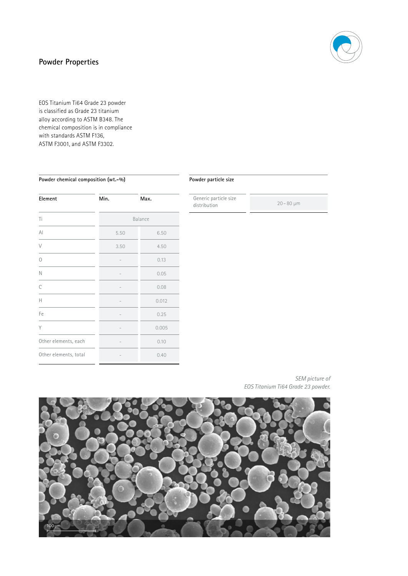# **Powder Properties**

EOS Titanium Ti64 Grade 23 powder is classified as Grade 23 titanium alloy according to ASTM B348. The chemical composition is in compliance with standards ASTM F136, ASTM F3001, and ASTM F3302.

### **Powder chemical composition (wt.-%)**

# **Element Min.** Max. Ti Balance Al 5.50 6.50 V 3.50 4.50  $\sim$  0.13  $N = 0.05$  $C$  0.08  $H$  0.012 Fe  $-$  0.25 Y 0.005 Other elements, each and the contract of the 0.10 Other elements, total  $-$  0.40

#### **Powder particle size**

Generic particle size distribution 20 – 80 µm

*SEM picture of EOS Titanium Ti64 Grade 23 powder.* 

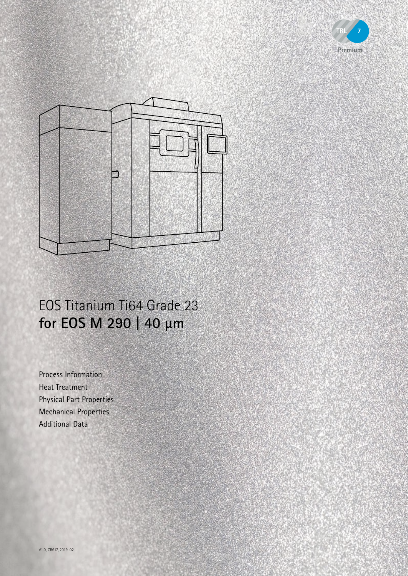



# EOS Titanium Ti64 Grade 23 **for EOS M 290 | 40 µm**

Process Information Heat Treatment Physical Part Properties Mechanical Properties Additional Data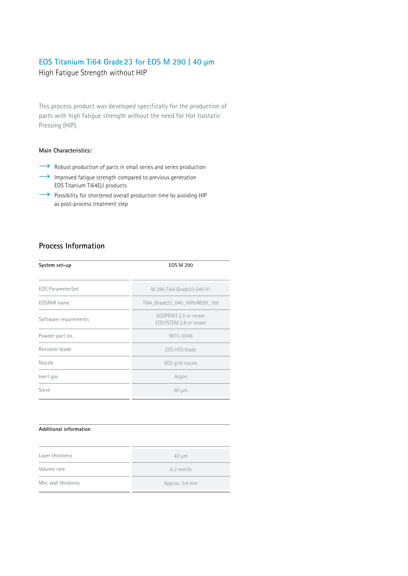# **EOS Titanium Ti64 Grade23 for EOS M 290 | 40 µm**

High Fatigue Strength without HIP

This process product was developed specifically for the production of parts with high fatigue strength without the need for Hot Isostatic Pressing (HIP).

# **Main Characteristics:**

- → Robust production of parts in small series and series production
- $\rightarrow$  Improved fatigue strength compared to previous generation EOS Titanium Ti64ELI products
- $\rightarrow$  Possibility for shortened overall production time by avoiding HIP as post-process treatment step

# **Process Information**

| System set-up           | EOS M 290                                      |
|-------------------------|------------------------------------------------|
| <b>EOS ParameterSet</b> | M 290 Ti64 Grade 23 040 V1                     |
| EOSPAR name             | Ti64 Grade23 040 HiPerM291 100                 |
| Software requirements   | EOSPRINT 2.5 or newer<br>FOSYSTEM 2.8 or newer |
| Powder part no.         | 9011-0046                                      |
| Recoater blade          | FOS HSS blade                                  |
| Nozzle                  | EOS grid nozzle                                |
| Inert gas               | Argon                                          |
| Sieve                   | $90 \mu m$                                     |

#### **Additional information**

| Layer thickness     | $40 \mu m$            |
|---------------------|-----------------------|
| Volume rate         | $6.2 \text{ mm}^3$ /s |
| Min. wall thickness | Approx. 0.4 mm        |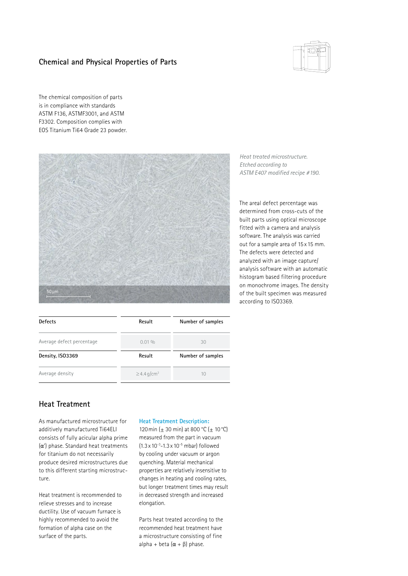# **Chemical and Physical Properties of Parts**



The chemical composition of parts is in compliance with standards ASTM F136, ASTMF3001, and ASTM F3302. Composition complies with EOS Titanium Ti64 Grade 23 powder.



| <b>Defects</b>            | Result                       | Number of samples |
|---------------------------|------------------------------|-------------------|
| Average defect percentage | $0.01\%$                     | 30                |
| Density, ISO3369          | Result                       | Number of samples |
| Average density           | $\geq$ 4.4 g/cm <sup>3</sup> | 10                |

*Heat treated microstructure. Etched according to ASTM E407 modified recipe #190.*

The areal defect percentage was determined from cross-cuts of the built parts using optical microscope fitted with a camera and analysis software. The analysis was carried out for a sample area of 15 x 15 mm. The defects were detected and analyzed with an image capture/ analysis software with an automatic histogram based filtering procedure on monochrome images. The density of the built specimen was measured according to ISO3369.

# **Heat Treatment**

As manufactured microstructure for additively manufactured Ti64ELI consists of fully acicular alpha prime (α') phase. Standard heat treatments for titanium do not necessarily produce desired microstructures due to this different starting microstructure.

Heat treatment is recommended to relieve stresses and to increase ductility. Use of vacuum furnace is highly recommended to avoid the formation of alpha case on the surface of the parts.

#### **Heat Treatment Description:**

120 min ( $\pm$  30 min) at 800 °C ( $\pm$  10 °C) measured from the part in vacuum  $(1.3 \times 10^{-3} - 1.3 \times 10^{-5} \text{ mbar})$  followed by cooling under vacuum or argon quenching. Material mechanical properties are relatively insensitive to changes in heating and cooling rates, but longer treatment times may result in decreased strength and increased elongation.

Parts heat treated according to the recommended heat treatment have a microstructure consisting of fine alpha + beta  $(\alpha + \beta)$  phase.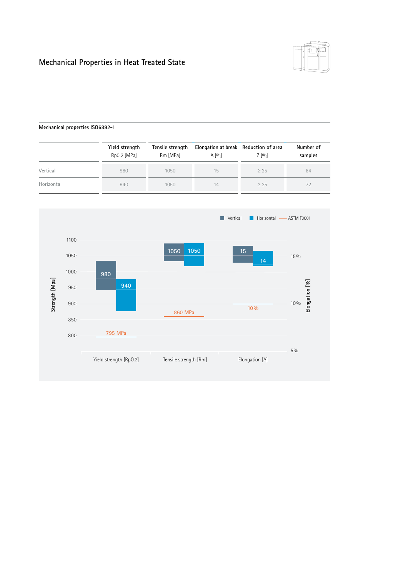# **Mechanical Properties in Heat Treated State**



### **Mechanical properties ISO6892-1**

|            | Yield strength<br>Rp0.2 [MPa] | Tensile strength<br>Rm [MPa] | Elongation at break Reduction of area<br>A [96] | $Z$ [%] | Number of<br>samples |
|------------|-------------------------------|------------------------------|-------------------------------------------------|---------|----------------------|
| Vertical   | 980                           | 1050                         | 15                                              | > 25    | 84                   |
| Horizontal | 940                           | 1050                         | 14                                              | > 25    | 72                   |

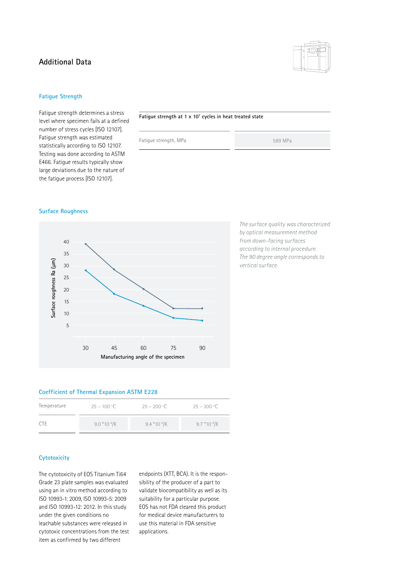# **Additional Data**



### **Fatigue Strength**

Fatigue strength determines a stress level where specimen fails at a defined number of stress cycles [ISO 12107]. Fatigue strength was estimated statistically according to ISO 12107. Testing was done according to ASTM E466. Fatigue results typically show large deviations due to the nature of the fatigue process [ISO 12107].

#### **Fatigue strength at 1 x 107 cycles in heat treated state**

Fatigue strength, MPa 589 MPa

#### **Surface Roughness**



*The surface quality was characterized by optical measurement method from down-facing surfaces according to internal procedure. The 90 degree angle corresponds to vertical surface.*

#### **Coefficient of Thermal Expansion ASTM E228**

| Temperature | $25 - 100 °C$ | $25 - 200 °C$ | $25 - 300 °C$    |
|-------------|---------------|---------------|------------------|
| <b>CTE</b>  | $9.0*10-6$ /K | $9.4*10-6$ /K | $9.7*10^{-6}$ /K |

### **Cytotoxicity**

The cytotoxicity of EOS Titanium Ti64 Grade 23 plate samples was evaluated using an in vitro method according to ISO 10993-1: 2009, ISO 10993-5: 2009 and ISO 10993-12: 2012. In this study under the given conditions no leachable substances were released in cytotoxic concentrations from the test item as confirmed by two different

endpoints (XTT, BCA). It is the responsibility of the producer of a part to validate biocompatibility as well as its suitability for a particular purpose. EOS has not FDA cleared this product for medical device manufacturers to use this material in FDA sensitive applications.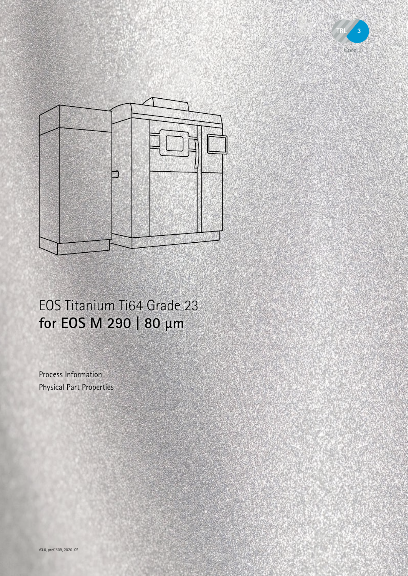



# EOS Titanium Ti64 Grade 23 **for EOS M 290 | 80 µm**

Process Information Physical Part Properties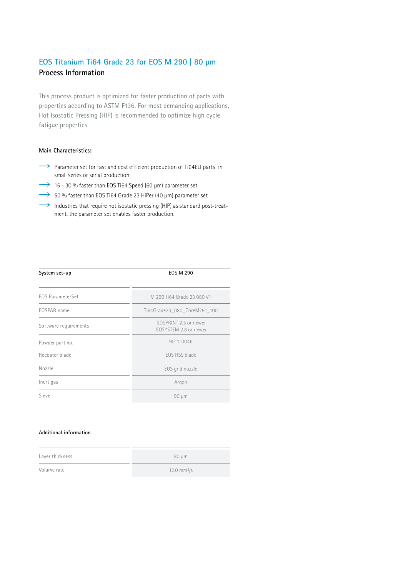# **EOS Titanium Ti64 Grade 23 for EOS M 290 | 80 µm Process Information**

This process product is optimized for faster production of parts with properties according to ASTM F136. For most demanding applications, Hot Isostatic Pressing (HIP) is recommended to optimize high cycle fatigue properties

### **Main Characteristics:**

- → Parameter set for fast and cost efficient production of Ti64ELI parts in small series or serial production
- $\rightarrow$  15 30 % faster than EOS Ti64 Speed (60 µm) parameter set
- $\rightarrow$  50 % faster than EOS Ti64 Grade 23 HiPer (40 µm) parameter set
- $\rightarrow$  Industries that require hot isostatic pressing (HIP) as standard post-treatment, the parameter set enables faster production.

| System set-up           | <b>EOS M 290</b>                               |
|-------------------------|------------------------------------------------|
| <b>EOS ParameterSet</b> | M 290 Ti64 Grade 23 080 V1                     |
| EOSPAR name             | Ti64Grade23 080 CoreM291 100                   |
| Software requirements   | FOSPRINT 2.5 or newer<br>FOSYSTEM 2.8 or newer |
| Powder part no.         | 9011-0046                                      |
| Recoater blade          | FOS HSS blade                                  |
| Nozzle                  | EOS grid nozzle                                |
| Inert gas               | Argon                                          |
| Sieve                   | 90 µm                                          |

#### **Additional information**

| Layer thickness | $80 \mu m$             |
|-----------------|------------------------|
| Volume rate     | $12.0 \text{ mm}^3$ /s |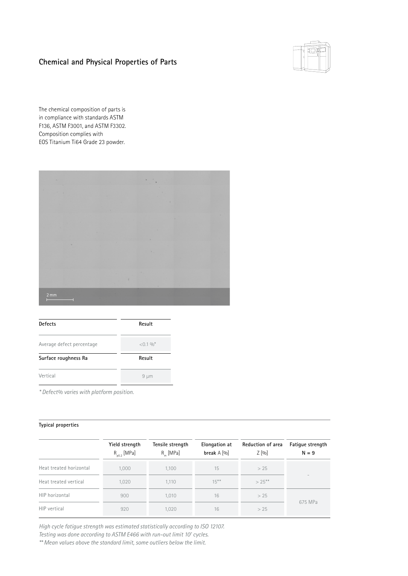# **Chemical and Physical Properties of Parts**



The chemical composition of parts is in compliance with standards ASTM F136, ASTM F3001, and ASTM F3302. Composition complies with EOS Titanium Ti64 Grade 23 powder.



| <b>Defects</b>            | Result     |
|---------------------------|------------|
| Average defect percentage | $< 0.1 \%$ |
| Surface roughness Ra      | Result     |
| Vertical                  | $9 \mu m$  |
|                           |            |

*\* Defect% varies with platform position.*

### **Typical properties**

|                         | Yield strength<br>$R_{p0.2}$ [MPa] | Tensile strength<br>$R_{m}$ [MPa] | <b>Elongation at</b><br>break $A$ [%] | Reduction of area<br>$Z$ [%] | <b>Fatique strength</b><br>$N = 9$ |
|-------------------------|------------------------------------|-----------------------------------|---------------------------------------|------------------------------|------------------------------------|
| Heat treated horizontal | 1.000                              | 1.100                             | 15                                    | > 25                         |                                    |
| Heat treated vertical   | 1,020                              | 1.110                             | $15***$                               | $> 25***$                    |                                    |
| HIP horizontal          | 900                                | 1.010                             | 16                                    | > 25                         |                                    |
| HIP vertical            | 920                                | 1,020                             | 16                                    | > 25                         | 675 MPa                            |

*High cycle fatigue strength was estimated statistically according to ISO 12107.* 

Testing was done according to ASTM E466 with run-out limit 10<sup>7</sup> cycles.

*\*\* Mean values above the standard limit, some outliers below the limit.*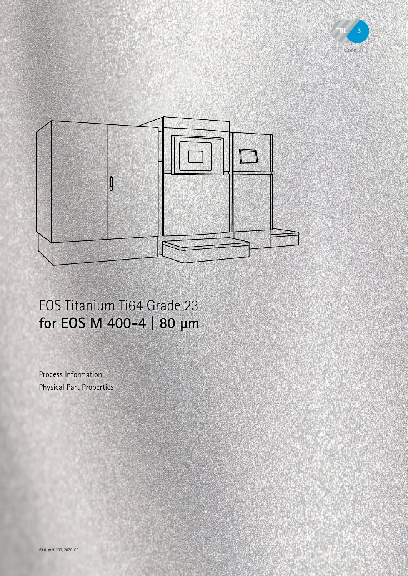



# EOS Titanium Ti64 Grade 23 **for EOS M 400-4 | 80 µm**

Process Information Physical Part Properties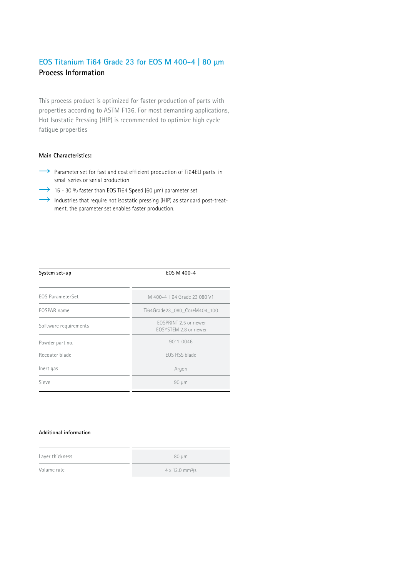# **EOS Titanium Ti64 Grade 23 for EOS M 400-4 | 80 µm Process Information**

This process product is optimized for faster production of parts with properties according to ASTM F136. For most demanding applications, Hot Isostatic Pressing (HIP) is recommended to optimize high cycle fatigue properties

#### **Main Characteristics:**

- → Parameter set for fast and cost efficient production of Ti64ELI parts in small series or serial production
- → 15 30 % faster than EOS Ti64 Speed (60 µm) parameter set
- $\rightarrow$  Industries that require hot isostatic pressing (HIP) as standard post-treatment, the parameter set enables faster production.

| System set-up           | EOS M 400-4                                    |
|-------------------------|------------------------------------------------|
| <b>EOS ParameterSet</b> | M 400-4 Ti64 Grade 23 080 V1                   |
| EOSPAR name             | Ti64Grade23 080 CoreM404 100                   |
| Software requirements   | EOSPRINT 2.5 or newer<br>FOSYSTEM 2.8 or newer |
| Powder part no.         | 9011-0046                                      |
| Recoater blade          | FOS HSS blade                                  |
| Inert gas               | Argon                                          |
| Sieve                   | 90 µm                                          |

#### **Additional information**

| Layer thickness | $80 \mu m$                         |
|-----------------|------------------------------------|
| Volume rate     | $4 \times 12.0$ mm <sup>3</sup> /s |